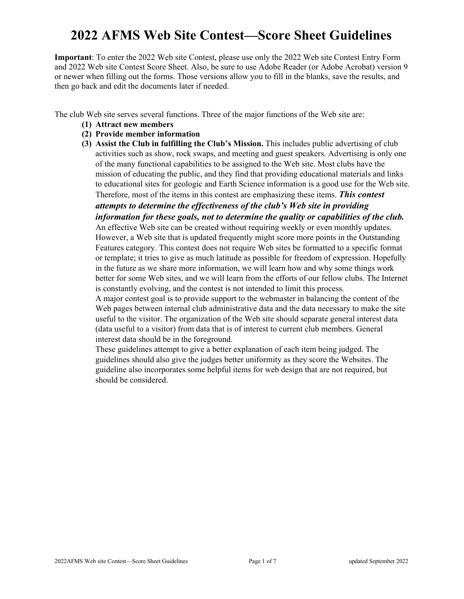# **2022 AFMS Web Site Contest—Score Sheet Guidelines**

**Important**: To enter the 2022 Web site Contest, please use only the 2022 Web site Contest Entry Form and 2022 Web site Contest Score Sheet. Also, be sure to use Adobe Reader (or Adobe Acrobat) version 9 or newer when filling out the forms. Those versions allow you to fill in the blanks, save the results, and then go back and edit the documents later if needed.

The club Web site serves several functions. Three of the major functions of the Web site are:

- **(1) Attract new members**
- **(2) Provide member information**
- **(3) Assist the Club in fulfilling the Club's Mission.** This includes public advertising of club activities such as show, rock swaps, and meeting and guest speakers. Advertising is only one of the many functional capabilities to be assigned to the Web site. Most clubs have the mission of educating the public, and they find that providing educational materials and links to educational sites for geologic and Earth Science information is a good use for the Web site. Therefore, most of the items in this contest are emphasizing these items. *This contest attempts to determine the effectiveness of the club's Web site in providing*

*information for these goals, not to determine the quality or capabilities of the club.*

An effective Web site can be created without requiring weekly or even monthly updates. However, a Web site that is updated frequently might score more points in the Outstanding Features category. This contest does not require Web sites be formatted to a specific format or template; it tries to give as much latitude as possible for freedom of expression. Hopefully in the future as we share more information, we will learn how and why some things work better for some Web sites, and we will learn from the efforts of our fellow clubs. The Internet is constantly evolving, and the contest is not intended to limit this process.

A major contest goal is to provide support to the webmaster in balancing the content of the Web pages between internal club administrative data and the data necessary to make the site useful to the visitor. The organization of the Web site should separate general interest data (data useful to a visitor) from data that is of interest to current club members. General interest data should be in the foreground.

These guidelines attempt to give a better explanation of each item being judged. The guidelines should also give the judges better uniformity as they score the Websites. The guideline also incorporates some helpful items for web design that are not required, but should be considered.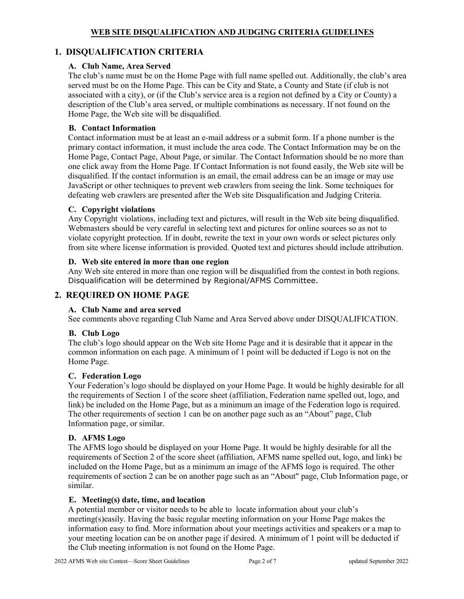# **1. DISQUALIFICATION CRITERIA**

# **A. Club Name, Area Served**

The club's name must be on the Home Page with full name spelled out. Additionally, the club's area served must be on the Home Page. This can be City and State, a County and State (if club is not associated with a city), or (if the Club's service area is a region not defined by a City or County) a description of the Club's area served, or multiple combinations as necessary. If not found on the Home Page, the Web site will be disqualified.

## **B. Contact Information**

Contact information must be at least an e-mail address or a submit form. If a phone number is the primary contact information, it must include the area code. The Contact Information may be on the Home Page, Contact Page, About Page, or similar. The Contact Information should be no more than one click away from the Home Page. If Contact Information is not found easily, the Web site will be disqualified. If the contact information is an email, the email address can be an image or may use JavaScript or other techniques to prevent web crawlers from seeing the link. Some techniques for defeating web crawlers are presented after the Web site Disqualification and Judging Criteria.

## **C. Copyright violations**

Any Copyright violations, including text and pictures, will result in the Web site being disqualified. Webmasters should be very careful in selecting text and pictures for online sources so as not to violate copyright protection. If in doubt, rewrite the text in your own words or select pictures only from site where license information is provided. Quoted text and pictures should include attribution.

## **D. Web site entered in more than one region**

Any Web site entered in more than one region will be disqualified from the contest in both regions. Disqualification will be determined by Regional/AFMS Committee.

# **2. REQUIRED ON HOME PAGE**

# **A. Club Name and area served**

See comments above regarding Club Name and Area Served above under DISQUALIFICATION.

# **B. Club Logo**

The club's logo should appear on the Web site Home Page and it is desirable that it appear in the common information on each page. A minimum of 1 point will be deducted if Logo is not on the Home Page.

# **C. Federation Logo**

Your Federation's logo should be displayed on your Home Page. It would be highly desirable for all the requirements of Section 1 of the score sheet (affiliation, Federation name spelled out, logo, and link) be included on the Home Page, but as a minimum an image of the Federation logo is required. The other requirements of section 1 can be on another page such as an "About" page, Club Information page, or similar.

#### **D. AFMS Logo**

The AFMS logo should be displayed on your Home Page. It would be highly desirable for all the requirements of Section 2 of the score sheet (affiliation, AFMS name spelled out, logo, and link) be included on the Home Page, but as a minimum an image of the AFMS logo is required. The other requirements of section 2 can be on another page such as an "About" page, Club Information page, or similar.

# **E. Meeting(s) date, time, and location**

A potential member or visitor needs to be able to locate information about your club's meeting(s)easily. Having the basic regular meeting information on your Home Page makes the information easy to find. More information about your meetings activities and speakers or a map to your meeting location can be on another page if desired. A minimum of 1 point will be deducted if the Club meeting information is not found on the Home Page.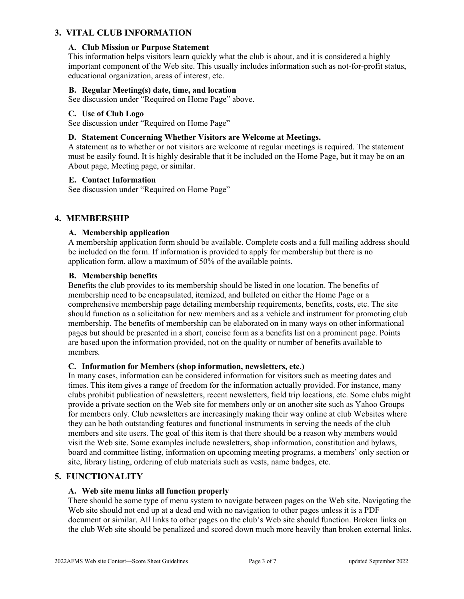# **3. VITAL CLUB INFORMATION**

#### **A. Club Mission or Purpose Statement**

This information helps visitors learn quickly what the club is about, and it is considered a highly important component of the Web site. This usually includes information such as not-for-profit status, educational organization, areas of interest, etc.

## **B. Regular Meeting(s) date, time, and location**

See discussion under "Required on Home Page" above.

#### **C. Use of Club Logo**

See discussion under "Required on Home Page"

#### **D. Statement Concerning Whether Visitors are Welcome at Meetings.**

A statement as to whether or not visitors are welcome at regular meetings is required. The statement must be easily found. It is highly desirable that it be included on the Home Page, but it may be on an About page, Meeting page, or similar.

## **E. Contact Information**

See discussion under "Required on Home Page"

# **4. MEMBERSHIP**

## **A. Membership application**

A membership application form should be available. Complete costs and a full mailing address should be included on the form. If information is provided to apply for membership but there is no application form, allow a maximum of 50% of the available points.

## **B. Membership benefits**

Benefits the club provides to its membership should be listed in one location. The benefits of membership need to be encapsulated, itemized, and bulleted on either the Home Page or a comprehensive membership page detailing membership requirements, benefits, costs, etc. The site should function as a solicitation for new members and as a vehicle and instrument for promoting club membership. The benefits of membership can be elaborated on in many ways on other informational pages but should be presented in a short, concise form as a benefits list on a prominent page. Points are based upon the information provided, not on the quality or number of benefits available to members.

#### **C. Information for Members (shop information, newsletters, etc.)**

In many cases, information can be considered information for visitors such as meeting dates and times. This item gives a range of freedom for the information actually provided. For instance, many clubs prohibit publication of newsletters, recent newsletters, field trip locations, etc. Some clubs might provide a private section on the Web site for members only or on another site such as Yahoo Groups for members only. Club newsletters are increasingly making their way online at club Websites where they can be both outstanding features and functional instruments in serving the needs of the club members and site users. The goal of this item is that there should be a reason why members would visit the Web site. Some examples include newsletters, shop information, constitution and bylaws, board and committee listing, information on upcoming meeting programs, a members' only section or site, library listing, ordering of club materials such as vests, name badges, etc.

# **5. FUNCTIONALITY**

# **A. Web site menu links all function properly**

There should be some type of menu system to navigate between pages on the Web site. Navigating the Web site should not end up at a dead end with no navigation to other pages unless it is a PDF document or similar. All links to other pages on the club's Web site should function. Broken links on the club Web site should be penalized and scored down much more heavily than broken external links.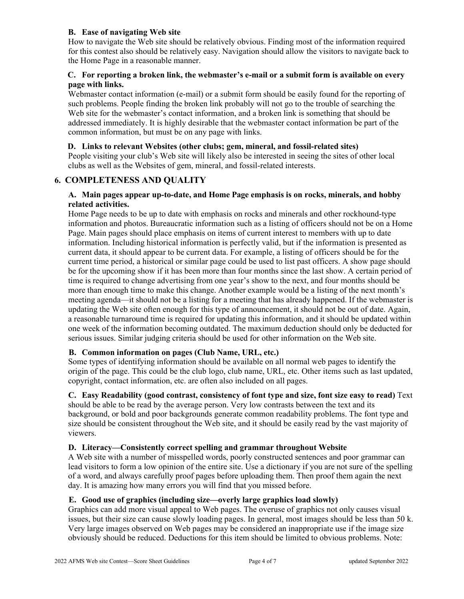## **B. Ease of navigating Web site**

How to navigate the Web site should be relatively obvious. Finding most of the information required for this contest also should be relatively easy. Navigation should allow the visitors to navigate back to the Home Page in a reasonable manner.

## **C. For reporting a broken link, the webmaster's e-mail or a submit form is available on every page with links.**

Webmaster contact information (e-mail) or a submit form should be easily found for the reporting of such problems. People finding the broken link probably will not go to the trouble of searching the Web site for the webmaster's contact information, and a broken link is something that should be addressed immediately. It is highly desirable that the webmaster contact information be part of the common information, but must be on any page with links.

## **D. Links to relevant Websites (other clubs; gem, mineral, and fossil-related sites)**

People visiting your club's Web site will likely also be interested in seeing the sites of other local clubs as well as the Websites of gem, mineral, and fossil-related interests.

# **6. COMPLETENESS AND QUALITY**

#### **A. Main pages appear up-to-date, and Home Page emphasis is on rocks, minerals, and hobby related activities.**

Home Page needs to be up to date with emphasis on rocks and minerals and other rockhound-type information and photos. Bureaucratic information such as a listing of officers should not be on a Home Page. Main pages should place emphasis on items of current interest to members with up to date information. Including historical information is perfectly valid, but if the information is presented as current data, it should appear to be current data. For example, a listing of officers should be for the current time period, a historical or similar page could be used to list past officers. A show page should be for the upcoming show if it has been more than four months since the last show. A certain period of time is required to change advertising from one year's show to the next, and four months should be more than enough time to make this change. Another example would be a listing of the next month's meeting agenda—it should not be a listing for a meeting that has already happened. If the webmaster is updating the Web site often enough for this type of announcement, it should not be out of date. Again, a reasonable turnaround time is required for updating this information, and it should be updated within one week of the information becoming outdated. The maximum deduction should only be deducted for serious issues. Similar judging criteria should be used for other information on the Web site.

# **B. Common information on pages (Club Name, URL, etc.)**

Some types of identifying information should be available on all normal web pages to identify the origin of the page. This could be the club logo, club name, URL, etc. Other items such as last updated, copyright, contact information, etc. are often also included on all pages.

**C. Easy Readability (good contrast, consistency of font type and size, font size easy to read)** Text should be able to be read by the average person. Very low contrasts between the text and its background, or bold and poor backgrounds generate common readability problems. The font type and size should be consistent throughout the Web site, and it should be easily read by the vast majority of viewers.

## **D. Literacy—Consistently correct spelling and grammar throughout Website**

A Web site with a number of misspelled words, poorly constructed sentences and poor grammar can lead visitors to form a low opinion of the entire site. Use a dictionary if you are not sure of the spelling of a word, and always carefully proof pages before uploading them. Then proof them again the next day. It is amazing how many errors you will find that you missed before.

## **E. Good use of graphics (including size—overly large graphics load slowly)**

Graphics can add more visual appeal to Web pages. The overuse of graphics not only causes visual issues, but their size can cause slowly loading pages. In general, most images should be less than 50 k. Very large images observed on Web pages may be considered an inappropriate use if the image size obviously should be reduced. Deductions for this item should be limited to obvious problems. Note: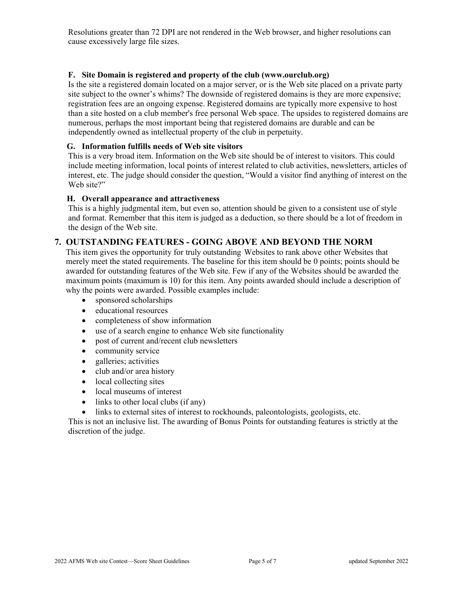Resolutions greater than 72 DPI are not rendered in the Web browser, and higher resolutions can cause excessively large file sizes.

## **F. Site Domain is registered and property of the club (www.ourclub.org)**

Is the site a registered domain located on a major server, or is the Web site placed on a private party site subject to the owner's whims? The downside of registered domains is they are more expensive; registration fees are an ongoing expense. Registered domains are typically more expensive to host than a site hosted on a club member's free personal Web space. The upsides to registered domains are numerous, perhaps the most important being that registered domains are durable and can be independently owned as intellectual property of the club in perpetuity.

#### **G. Information fulfills needs of Web site visitors**

This is a very broad item. Information on the Web site should be of interest to visitors. This could include meeting information, local points of interest related to club activities, newsletters, articles of interest, etc. The judge should consider the question, "Would a visitor find anything of interest on the Web site?"

#### **H. Overall appearance and attractiveness**

This is a highly judgmental item, but even so, attention should be given to a consistent use of style and format. Remember that this item is judged as a deduction, so there should be a lot of freedom in the design of the Web site.

## **7. OUTSTANDING FEATURES - GOING ABOVE AND BEYOND THE NORM**

This item gives the opportunity for truly outstanding Websites to rank above other Websites that merely meet the stated requirements. The baseline for this item should be 0 points; points should be awarded for outstanding features of the Web site. Few if any of the Websites should be awarded the maximum points (maximum is 10) for this item. Any points awarded should include a description of why the points were awarded. Possible examples include:

- sponsored scholarships
- educational resources
- completeness of show information
- use of a search engine to enhance Web site functionality
- post of current and/recent club newsletters
- community service
- galleries; activities
- club and/or area history
- local collecting sites
- local museums of interest
- links to other local clubs (if any)
- links to external sites of interest to rockhounds, paleontologists, geologists, etc.

This is not an inclusive list. The awarding of Bonus Points for outstanding features is strictly at the discretion of the judge.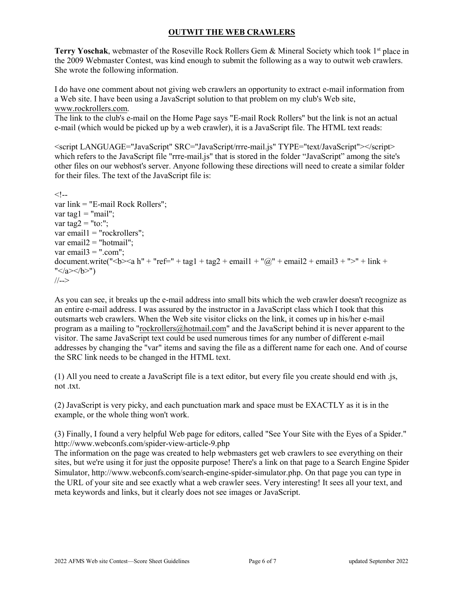# **OUTWIT THE WEB CRAWLERS**

Terry Yoschak, webmaster of the Roseville Rock Rollers Gem & Mineral Society which took 1<sup>st</sup> place in the 2009 Webmaster Contest, was kind enough to submit the following as a way to outwit web crawlers. She wrote the following information.

I do have one comment about not giving web crawlers an opportunity to extract e-mail information from a Web site. I have been using a JavaScript solution to that problem on my club's Web site, [www.rockrollers.com.](http://www.rockrollers.com/)

The link to the club's e-mail on the Home Page says "E-mail Rock Rollers" but the link is not an actual e-mail (which would be picked up by a web crawler), it is a JavaScript file. The HTML text reads:

<script LANGUAGE="JavaScript" SRC="JavaScript/rrre-mail.js" TYPE="text/JavaScript"></script> which refers to the JavaScript file "rrre-mail.js" that is stored in the folder "JavaScript" among the site's other files on our webhost's server. Anyone following these directions will need to create a similar folder for their files. The text of the JavaScript file is:

```
<!-var link = "E-mail Rock Rollers";
var tag1 ="mail";
var tag2 ="to:";
var email1 = "rockrollers";
var email2 ="hotmail";
var email3 =".com";
document.write("<b><a h" + "ref=" + tag1 + tag2 + email1 + "@" + email2 + email3 + ">" + link +
"</a></b>")
//-->
```
As you can see, it breaks up the e-mail address into small bits which the web crawler doesn't recognize as an entire e-mail address. I was assured by the instructor in a JavaScript class which I took that this outsmarts web crawlers. When the Web site visitor clicks on the link, it comes up in his/her e-mail program as a mailing to ["rockrollers@hotmail.com"](mailto:rockrollers@hotmail.com) and the JavaScript behind it is never apparent to the visitor. The same JavaScript text could be used numerous times for any number of different e-mail addresses by changing the "var" items and saving the file as a different name for each one. And of course the SRC link needs to be changed in the HTML text.

(1) All you need to create a JavaScript file is a text editor, but every file you create should end with .js, not .txt.

(2) JavaScript is very picky, and each punctuation mark and space must be EXACTLY as it is in the example, or the whole thing won't work.

(3) Finally, I found a very helpful Web page for editors, called "See Your Site with the Eyes of a Spider." <http://www.webconfs.com/spider-view-article-9.php>

The information on the page was created to help webmasters get web crawlers to see everything on their sites, but we're using it for just the opposite purpose! There's a link on that page to a Search Engine Spider Simulator, [http://www.webconfs.com/search-engine-spider-simulator.php.](http://www.webconfs.com/search-engine-spider-simulator.php) On that page you can type in the URL of your site and see exactly what a web crawler sees. Very interesting! It sees all your text, and meta keywords and links, but it clearly does not see images or JavaScript.